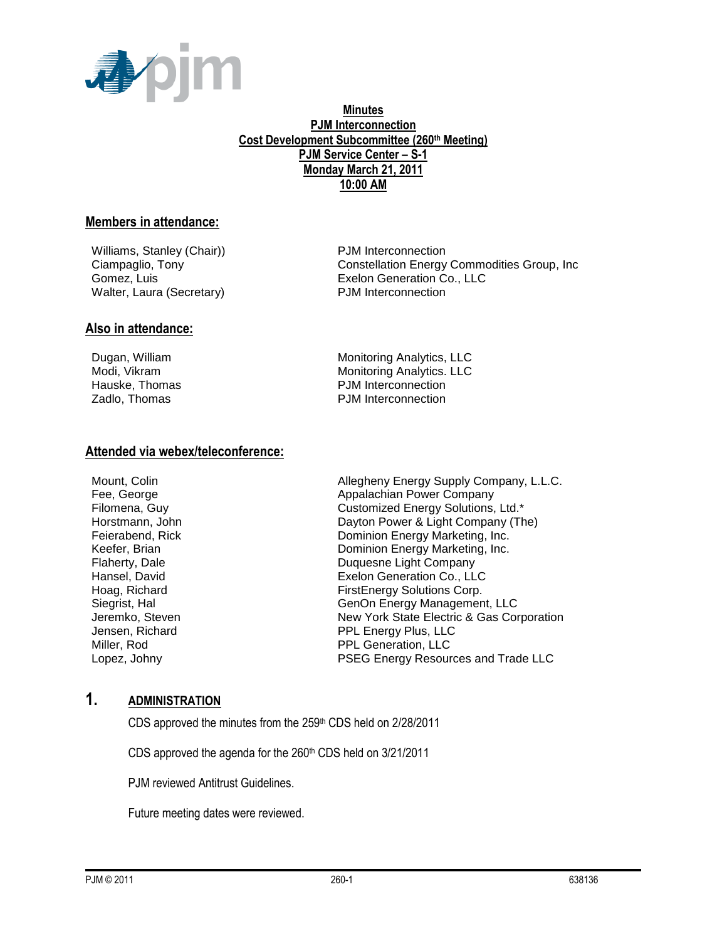

### **Minutes PJM Interconnection Cost Development Subcommittee (260th Meeting) PJM Service Center – S-1 Monday March 21, 2011 10:00 AM**

### **Members in attendance:**

Williams, Stanley (Chair) **PJM** Interconnection Walter, Laura (Secretary) PJM Interconnection

Ciampaglio, Tony Constellation Energy Commodities Group, Inc Gomez, Luis Exelon Generation Co., LLC

### **Also in attendance:**

Dugan, William Monitoring Analytics, LLC Modi, Vikram Monitoring Analytics. LLC Hauske, Thomas **PJM** Interconnection Zadlo, Thomas **PJM** Interconnection

### **Attended via webex/teleconference:**

Mount, Colin Allegheny Energy Supply Company, L.L.C. Fee, George **Appalachian Power Company** Filomena, Guy Customized Energy Solutions, Ltd.\* Horstmann, John Dayton Power & Light Company (The) Feierabend, Rick **Dominion Energy Marketing, Inc.** Keefer, Brian North Commission Boominion Energy Marketing, Inc. Flaherty, Dale<br>
Hansel, David 
Hansel, David Exelon Generation Co., LLC Hoag, Richard FirstEnergy Solutions Corp. Siegrist, Hal GenOn Energy Management, LLC Jeremko, Steven New York State Electric & Gas Corporation Jensen, Richard **PPL Energy Plus, LLC** Miller, Rod **PPL Generation**, LLC Lopez, Johny PSEG Energy Resources and Trade LLC

### **1. ADMINISTRATION**

CDS approved the minutes from the 259th CDS held on 2/28/2011

CDS approved the agenda for the 260<sup>th</sup> CDS held on 3/21/2011

PJM reviewed Antitrust Guidelines.

Future meeting dates were reviewed.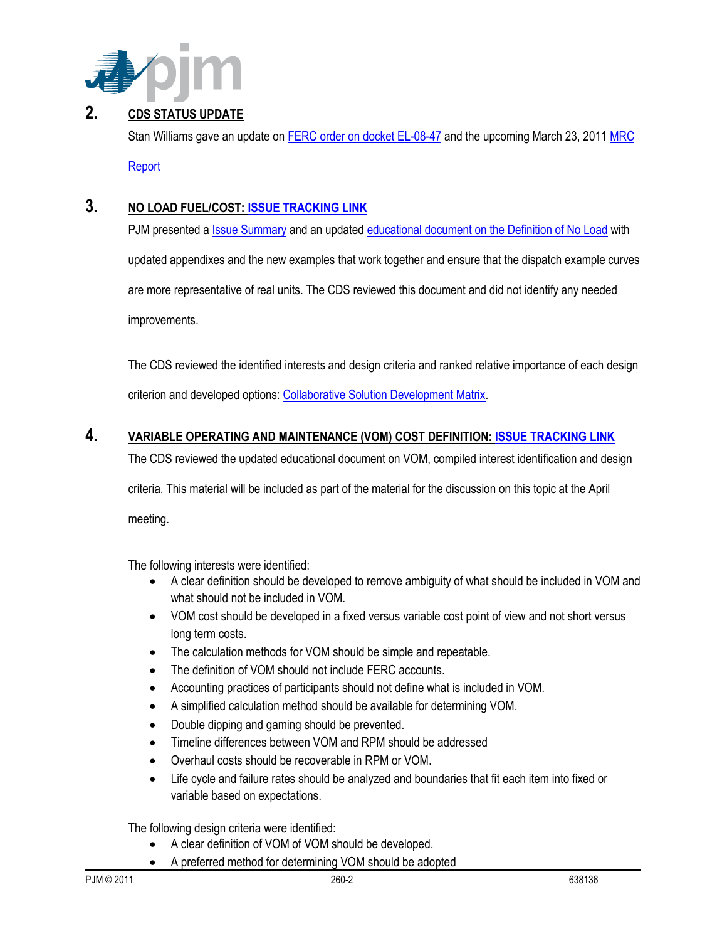

# **2. CDS STATUS UPDATE**

Stan Williams gave an update on [FERC order on docket EL-08-47](http://elibrary.ferc.gov/idmws/file_list.asp?accession_num=20110317-3012) and the upcoming March 23, 201[1 MRC](http://www.pjm.com/~/media/committees-groups/committees/mrc/20110323/20110323-item-08f-cost-development-subcommittee-update.ashx) 

[Report](http://www.pjm.com/~/media/committees-groups/committees/mrc/20110323/20110323-item-08f-cost-development-subcommittee-update.ashx)

# **3. NO LOAD FUEL/COST[: ISSUE TRACKING LINK](http://www.pjm.com/committees-and-groups/issue-tracking/issue-tracking-details.aspx?Issue=%7bB4390F49-FB83-4790-B1E7-89EF1844E073%7d)**

PJM presented [a Issue Summary](http://www.pjm.com/~/media/committees-groups/subcommittees/cds/20110321/20110321-item-03a-no-load-issue-summary.ashx) and an updated [educational document on the Definition of No Load](http://www.pjm.com/~/media/committees-groups/subcommittees/cds/20110321/20110321-item-03b-educational-paper-for-no-load.ashx) with

updated appendixes and the new examples that work together and ensure that the dispatch example curves

are more representative of real units. The CDS reviewed this document and did not identify any needed improvements.

The CDS reviewed the identified interests and design criteria and ranked relative importance of each design criterion and developed options: [Collaborative Solution Development Matrix.](http://www.pjm.com/~/media/committees-groups/subcommittees/cds/20110321/20110321-cds-no-load-collaborative-solution-development-matrix-march-2011.ashx)

## **4. VARIABLE OPERATING AND MAINTENANCE (VOM) COST DEFINITION: [ISSUE TRACKING LINK](http://www.pjm.com/committees-and-groups/issue-tracking/issue-tracking-details.aspx?Issue=%7b189C7210-9A23-4782-A5B5-634A6887CFE1%7d)**

The CDS reviewed the updated educational document on VOM, compiled interest identification and design

criteria. This material will be included as part of the material for the discussion on this topic at the April meeting.

The following interests were identified:

- A clear definition should be developed to remove ambiguity of what should be included in VOM and what should not be included in VOM.
- VOM cost should be developed in a fixed versus variable cost point of view and not short versus long term costs.
- The calculation methods for VOM should be simple and repeatable.
- The definition of VOM should not include FERC accounts.
- Accounting practices of participants should not define what is included in VOM.
- A simplified calculation method should be available for determining VOM.
- Double dipping and gaming should be prevented.
- Timeline differences between VOM and RPM should be addressed
- Overhaul costs should be recoverable in RPM or VOM.
- Life cycle and failure rates should be analyzed and boundaries that fit each item into fixed or variable based on expectations.

The following design criteria were identified:

- A clear definition of VOM of VOM should be developed.
- A preferred method for determining VOM should be adopted